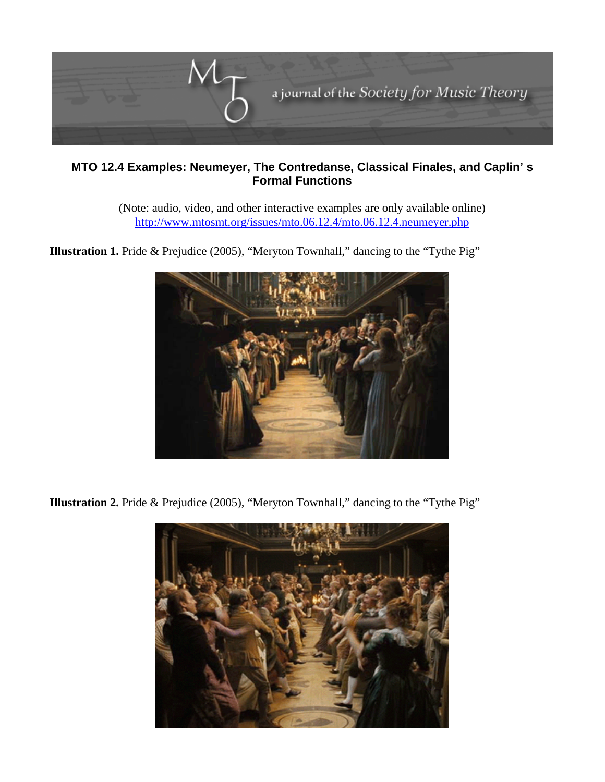

## **MTO 12.4 Examples: Neumeyer, The Contredanse, Classical Finales, and Caplin' s Formal Functions**

(Note: audio, video, and other interactive examples are only available online) <http://www.mtosmt.org/issues/mto.06.12.4/mto.06.12.4.neumeyer.php>



**Illustration 1.** Pride & Prejudice (2005), "Meryton Townhall," dancing to the "Tythe Pig"

**Illustration 2.** Pride & Prejudice (2005), "Meryton Townhall," dancing to the "Tythe Pig"

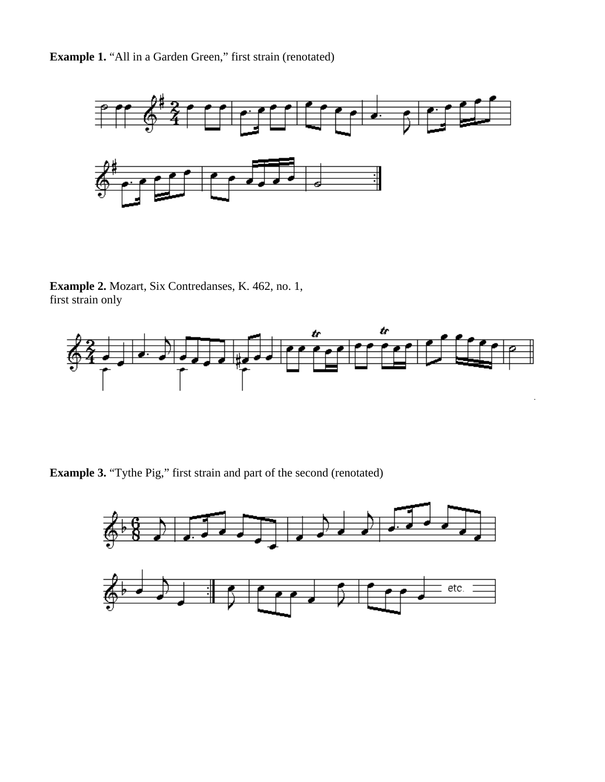**Example 1.** "All in a Garden Green," first strain (renotated)



**Example 2.** Mozart, Six Contredanses, K. 462, no. 1, first strain only



**Example 3.** "Tythe Pig," first strain and part of the second (renotated)

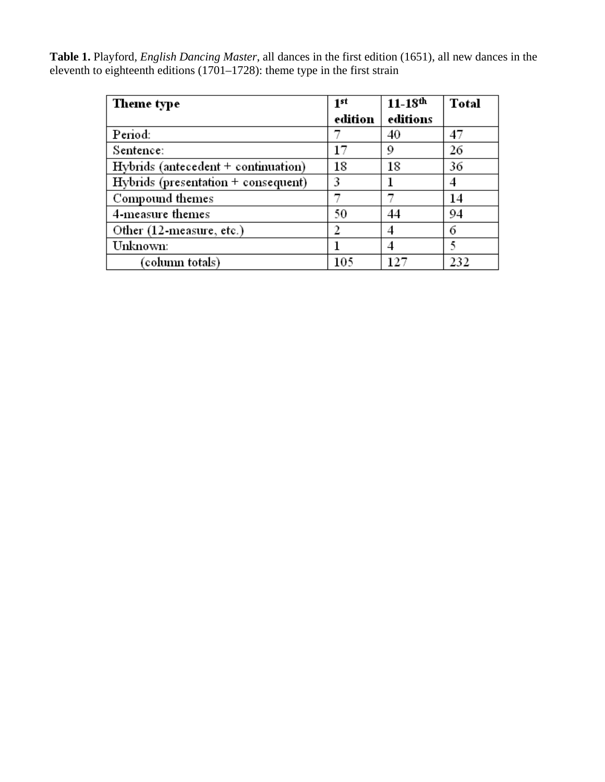**Table 1.** Playford, *English Dancing Master*, all dances in the first edition (1651), all new dances in the eleventh to eighteenth editions (1701–1728): theme type in the first strain

| Theme type                              | 1 <sup>st</sup> | $11 - 18$ th | <b>Total</b> |
|-----------------------------------------|-----------------|--------------|--------------|
|                                         | edition         | editions     |              |
| Period:                                 |                 | 40           | 47           |
| Sentence:                               | 17              | 9            | 26           |
| $Hybrids$ (antecedent $+$ continuation) | 18              | 18           | 36           |
| Hybrids (presentation + consequent)     | 3               |              |              |
| Compound themes                         |                 |              | 14           |
| 4-measure themes                        | 50              | 44           | 94           |
| Other (12-measure, etc.)                |                 |              | 6            |
| Unknown:                                |                 |              |              |
| (column totals)                         | 105             |              | 232          |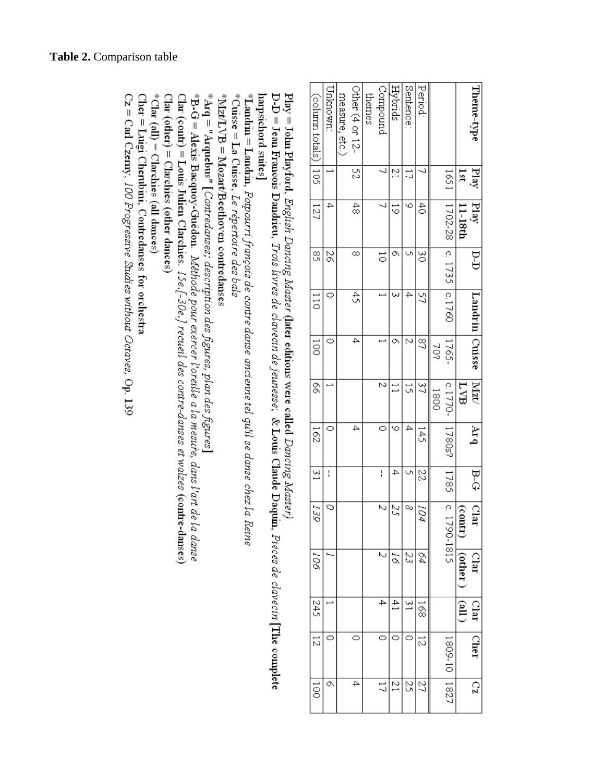| (column totals) | Unknown: | measure, etc.) | Other (4 or 12- | themes | Compound      | <b>Hybrids</b>  | Sentence      | Period:       |      |                                    |          | Theme-type          |
|-----------------|----------|----------------|-----------------|--------|---------------|-----------------|---------------|---------------|------|------------------------------------|----------|---------------------|
| $\frac{1}{2}$   |          |                | 52              |        | ر۔            | 21              | 5             |               |      | 1951                               | lst      | Play                |
| 127             | 4        |                | $\frac{4}{8}$   |        | Ĵ             | $\vec{\circ}$   | ७             | ਨੈ            |      | 1702-28                            | 11-18th  | <u>पिछु</u>         |
| S,              | ZQ       |                | ∞               |        | $\vec{\circ}$ | O,              |               | ŏ             |      | c.1735 c.1760                      |          | $\Gamma$ - $\Gamma$ |
| $\frac{1}{2}$   | 0        |                | £,              |        |               |                 | 4             | S             |      |                                    |          | Landrin             |
| ā               | o        |                | 4               |        |               | O,              | M             | g             | Š    | 1765-                              |          | Cuisse              |
| S,              |          |                |                 |        | $\sim$        |                 | ū             | 37            | 0081 | $c.1770-$                          | EVB      | MzU                 |
| 162             |          |                | 4               |        |               | ७               | 4             | 145           |      | 1780s?                             |          | Arq                 |
| $\frac{2}{3}$   | I        |                |                 |        | l             | 4               | U             | 22            |      | 5821                               |          | b-a                 |
| 139             | $\circ$  |                |                 |        | N             | S               | ∾             | 104           |      | $\lfloor c.17 \rfloor$<br>790-1815 | (contr.) | Clar                |
| 106             |          |                |                 |        | N             | $\tilde{\rho}$  | β,            | 64            |      |                                    | (other   | Clar                |
| 245             |          |                |                 |        | 4             | $\ddot{41}$     | $\frac{2}{3}$ | $\frac{1}{8}$ |      |                                    | (all)    | Clar                |
| $\frac{1}{2}$   | o        |                |                 |        |               |                 |               | 12            |      | 1809-10 11827                      |          | Cher                |
| ā               | O        |                | 4               |        | 17            | $\overline{21}$ | Ω,            | Z             |      |                                    |          | 20                  |

 $\text{Play} = \text{John Playford},$   $\emph{English Davies}$   $\emph{Maxter}$  (later editions were called  $\emph{Dancing Master}$ )

 $D-D = Jean Francois Dandireu, Trois inverse de clavecin de jeuresse; & Louis Claude Daguiu, Preces de clavecirí [The complete$ harpsichord suites]

 $^*$ Landrin = Landrin, Potpourri françois de contre danse ancienne tel qu'il se danse chez la Reine $^*$ 

\*Cuisse = La Cuisse, Le répertoire des bals

\*Mzt/LVB = Mozart/Beethoven contredanses

 $^*$ Arq = "Arquebus" [Contredanses; description des figures, plan des figures]

\* $\rm B$ -G = Alexis Bacquoy-Guédon. Méthode pour exercer l'oreille a la mesure, dans l'art de la danse

Clar (contr) = Louis Julien Clarchies.  $15e$ ,  $[-30e$ ,  $]$  recueil des contre-danses et walzes (contre-danses)

\*Clar (all) = Clarchies (all dances)  $Clar$  (other) =  $Clarchies$  (other dances)

 $\text{Cher} = \text{Luigi}$   $\text{Cherubini}, \text{Contredmses for order}$ 

 $Cz = C$ arl Czerny, 100 Progressive Studies without Octaves, Op. 139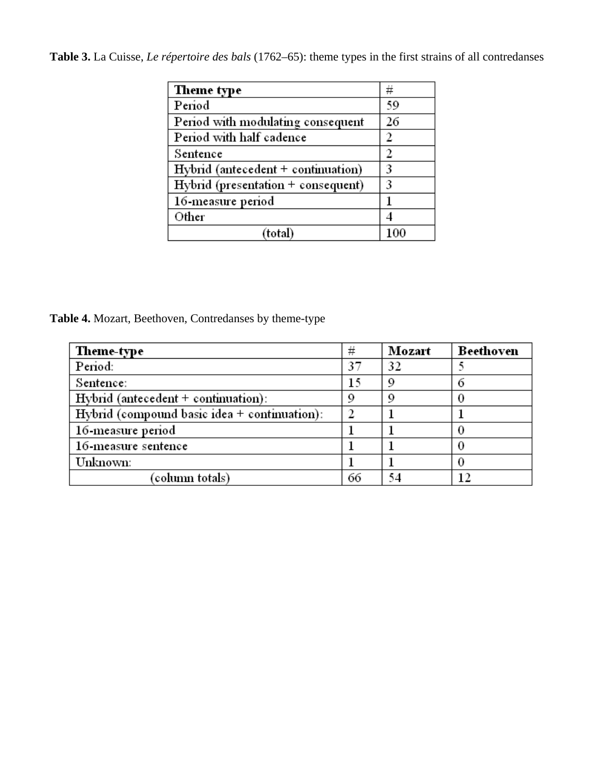**Table 3.** La Cuisse, *Le répertoire des bals* (1762–65): theme types in the first strains of all contredanses

| Theme type                             | #        |
|----------------------------------------|----------|
| Period                                 | 59       |
| Period with modulating consequent      | 26       |
| Period with half cadence               | 2        |
| Sentence                               | 2        |
| $Hybrid$ (antecedent $+$ continuation) | 3        |
| $Hybrid$ (presentation $+$ consequent) | 3        |
| 16-measure period                      |          |
| Other                                  |          |
| (total)                                | $^{100}$ |

**Table 4.** Mozart, Beethoven, Contredanses by theme-type

| Theme-type                                     | #  | Mozart | Beethoven |
|------------------------------------------------|----|--------|-----------|
| Period:                                        | 37 | 32     |           |
| Sentence:                                      | 15 | 9      |           |
| $Hybrid$ (antecedent + continuation):          | 9  | 9      |           |
| Hybrid (compound basic idea $+$ continuation): |    |        |           |
| 16-measure period                              |    |        |           |
| 16-measure sentence                            |    |        |           |
| Unknown:                                       |    |        |           |
| (column totals)                                | 66 | 54     | 12        |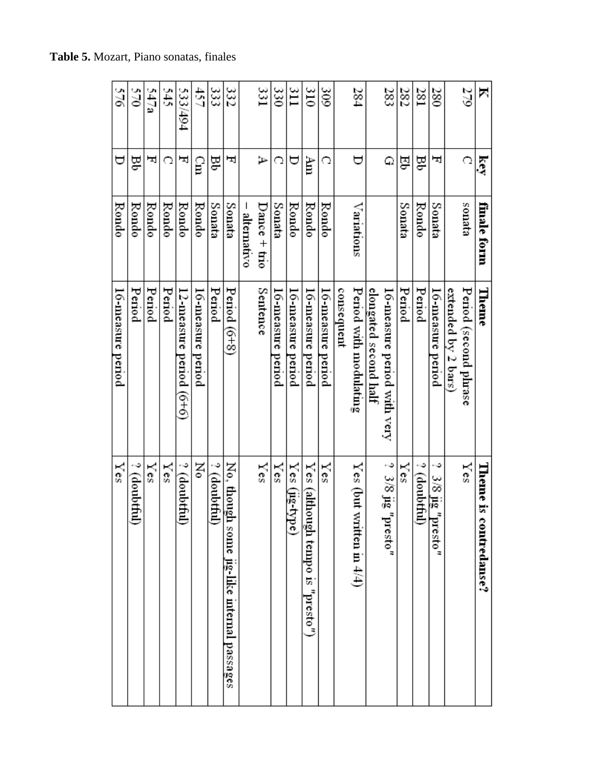| 547a<br>570<br>Ĕθ<br>ᄓ |              |        | \$45<br>C | 533/494<br>ᄓ               | 457<br>្អូ           | 333<br>g     | 332<br>ᄓ                                         | I           | 331<br>ゴ       | 330<br>n          | ΞI<br>₩           | $\frac{310}{2}$<br>Àm                  | $\frac{20}{5}$<br>C |            | 284<br>∀                    |                       | 283<br>Φ                                      | 282<br>된  | 281<br>몆        | 380<br>ᄇ                            |                    | 279<br>Q             | Δ<br>ίŝ,                  |
|------------------------|--------------|--------|-----------|----------------------------|----------------------|--------------|--------------------------------------------------|-------------|----------------|-------------------|-------------------|----------------------------------------|---------------------|------------|-----------------------------|-----------------------|-----------------------------------------------|-----------|-----------------|-------------------------------------|--------------------|----------------------|---------------------------|
|                        | Rondo        | Rondo  | Rondo     | Rondo                      | Rondo                | Sonata       | Sonata                                           | alternativo | Dance $+$ trio | Sonata            | Rondo             | Rondo                                  | Rondo               |            | Variations                  |                       |                                               | Sonata    | Rondo           | Sonata                              |                    | enata                | finale form               |
|                        | Period       | Period | Period    | $12$ -measure period (6+6) | 16-measure<br>period | Period       | Period $(6+8)$                                   |             | Sentence       | 16-measure period | 16-measure period | 16-measure period                      | 16-measure period   | consequent | Period with modulating      | elongated second half | 16-measure period with very                   | Period    | Period          | 16-measure period                   | extended by 2 bars | Penod (second phrase | Theme                     |
|                        | ? (doubtful) | Yes    | Yes       | ? (doubtful)               | Σô                   | ? (doubtful) | No, though<br>some<br>jig-like internal passages |             | Yes            | Ÿes               | Yes<br>(Jig-type) | Yes<br>norµje)<br>gh tempo is "presto" | Ÿes                 |            | Yes (but written in $4/4$ ) |                       | $3/8$ ii $\mathrm{g}$ $\mathrm{u}$<br>vresto" | $\vee$ cs | ت<br>(doubtful) | د.<br>$\frac{3}{8}$ is "p<br>resto" |                    | Ÿes                  | Theme is c<br>ontredanse? |

**Table 5.** Mozart, Piano sonatas, finales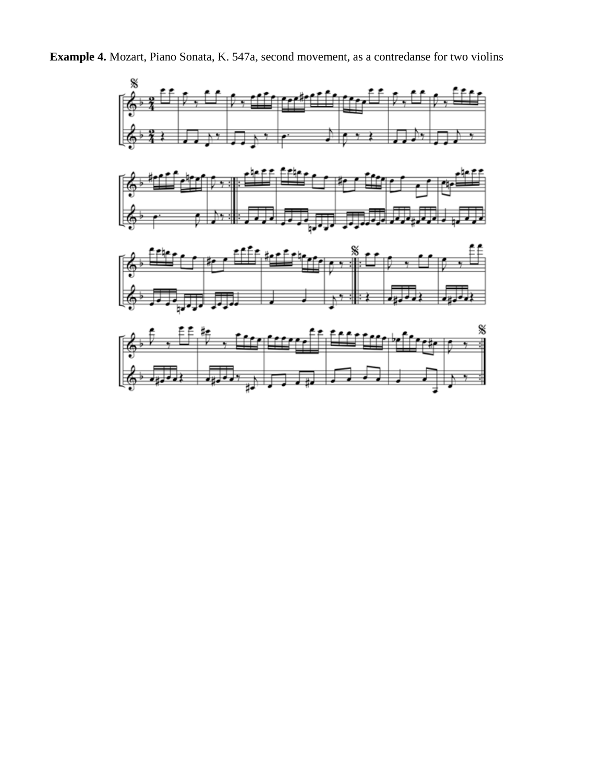**Example 4.** Mozart, Piano Sonata, K. 547a, second movement, as a contredanse for two violins

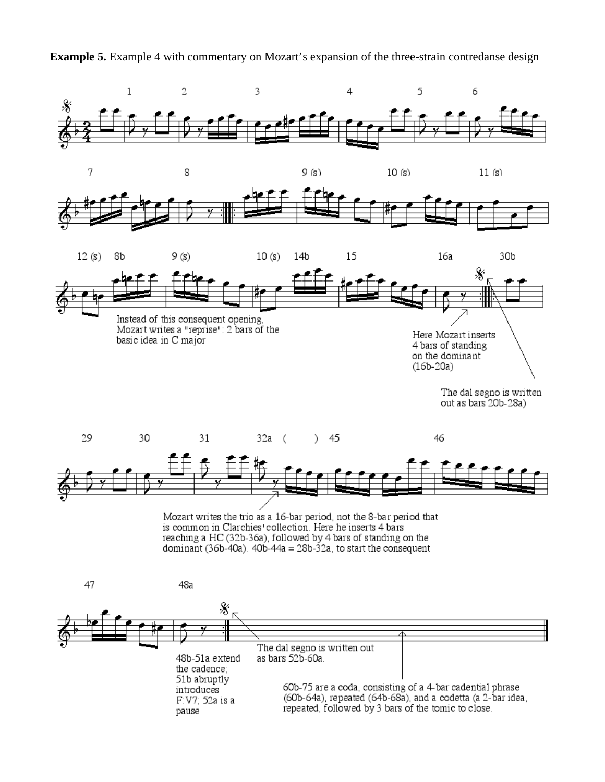**Example 5.** Example 4 with commentary on Mozart's expansion of the three-strain contredanse design



Mozart writes the trio as a 16-bar period, not the 8-bar period that is common in Clarchies' collection. Here he inserts 4 bars reaching a HC (32b-36a), followed by 4 bars of standing on the dominant (36b-40a).  $40b-44a = 28b-32a$ , to start the consequent